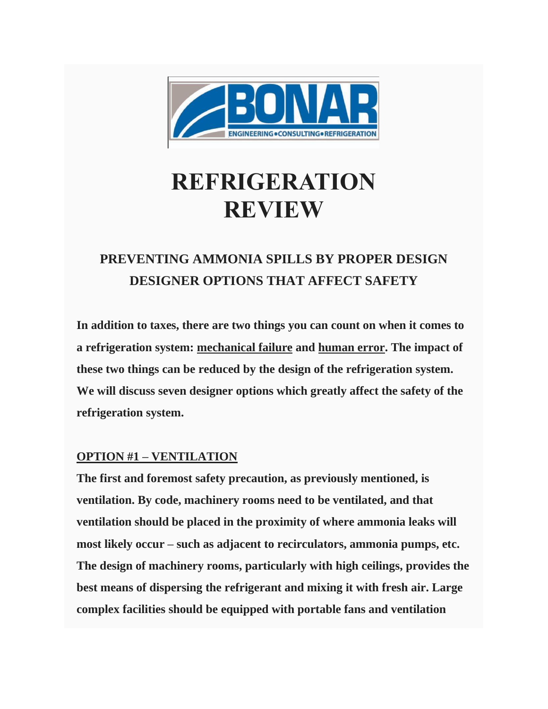

# **REFRIGERATION REVIEW**

# **PREVENTING AMMONIA SPILLS BY PROPER DESIGN DESIGNER OPTIONS THAT AFFECT SAFETY**

**In addition to taxes, there are two things you can count on when it comes to a refrigeration system: mechanical failure and human error. The impact of these two things can be reduced by the design of the refrigeration system. We will discuss seven designer options which greatly affect the safety of the refrigeration system.**

# **OPTION #1 – VENTILATION**

**The first and foremost safety precaution, as previously mentioned, is ventilation. By code, machinery rooms need to be ventilated, and that ventilation should be placed in the proximity of where ammonia leaks will most likely occur – such as adjacent to recirculators, ammonia pumps, etc. The design of machinery rooms, particularly with high ceilings, provides the best means of dispersing the refrigerant and mixing it with fresh air. Large complex facilities should be equipped with portable fans and ventilation**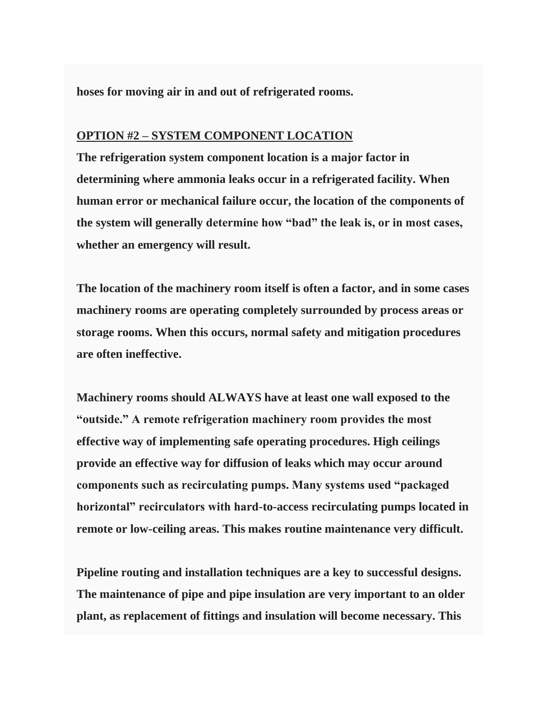**hoses for moving air in and out of refrigerated rooms.**

#### **OPTION #2 – SYSTEM COMPONENT LOCATION**

**The refrigeration system component location is a major factor in determining where ammonia leaks occur in a refrigerated facility. When human error or mechanical failure occur, the location of the components of the system will generally determine how "bad" the leak is, or in most cases, whether an emergency will result.**

**The location of the machinery room itself is often a factor, and in some cases machinery rooms are operating completely surrounded by process areas or storage rooms. When this occurs, normal safety and mitigation procedures are often ineffective.**

**Machinery rooms should ALWAYS have at least one wall exposed to the "outside." A remote refrigeration machinery room provides the most effective way of implementing safe operating procedures. High ceilings provide an effective way for diffusion of leaks which may occur around components such as recirculating pumps. Many systems used "packaged horizontal" recirculators with hard-to-access recirculating pumps located in remote or low-ceiling areas. This makes routine maintenance very difficult.**

**Pipeline routing and installation techniques are a key to successful designs. The maintenance of pipe and pipe insulation are very important to an older plant, as replacement of fittings and insulation will become necessary. This**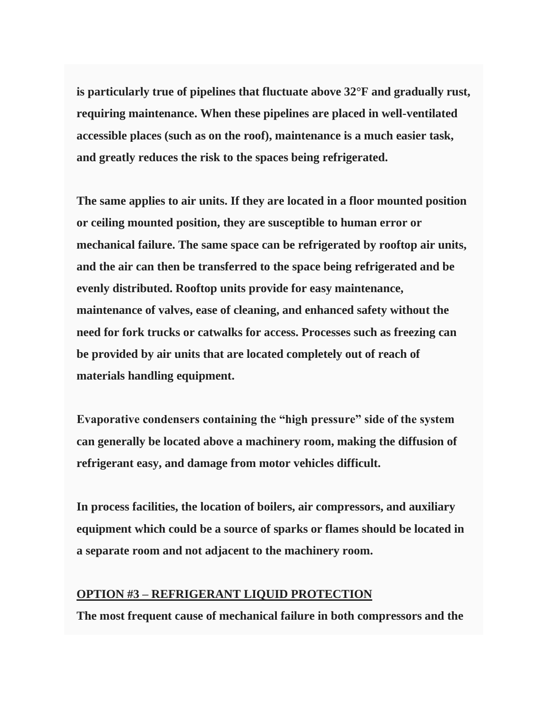**is particularly true of pipelines that fluctuate above 32°F and gradually rust, requiring maintenance. When these pipelines are placed in well-ventilated accessible places (such as on the roof), maintenance is a much easier task, and greatly reduces the risk to the spaces being refrigerated.**

**The same applies to air units. If they are located in a floor mounted position or ceiling mounted position, they are susceptible to human error or mechanical failure. The same space can be refrigerated by rooftop air units, and the air can then be transferred to the space being refrigerated and be evenly distributed. Rooftop units provide for easy maintenance, maintenance of valves, ease of cleaning, and enhanced safety without the need for fork trucks or catwalks for access. Processes such as freezing can be provided by air units that are located completely out of reach of materials handling equipment.**

**Evaporative condensers containing the "high pressure" side of the system can generally be located above a machinery room, making the diffusion of refrigerant easy, and damage from motor vehicles difficult.**

**In process facilities, the location of boilers, air compressors, and auxiliary equipment which could be a source of sparks or flames should be located in a separate room and not adjacent to the machinery room.**

## **OPTION #3 – REFRIGERANT LIQUID PROTECTION**

**The most frequent cause of mechanical failure in both compressors and the**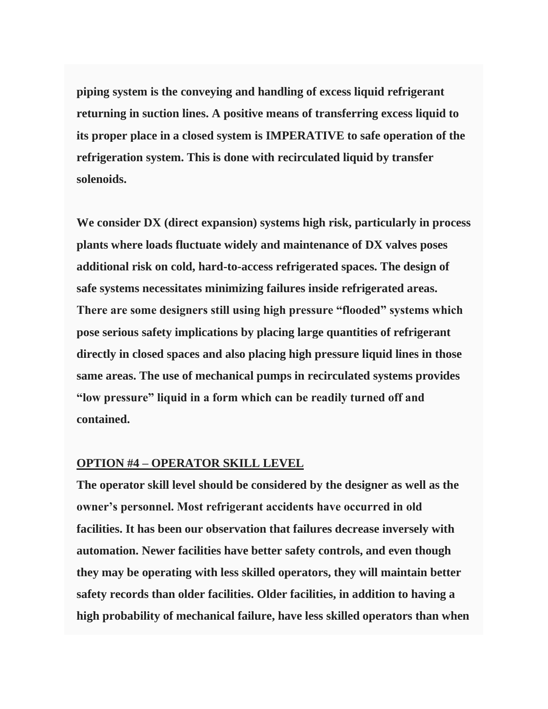**piping system is the conveying and handling of excess liquid refrigerant returning in suction lines. A positive means of transferring excess liquid to its proper place in a closed system is IMPERATIVE to safe operation of the refrigeration system. This is done with recirculated liquid by transfer solenoids.**

**We consider DX (direct expansion) systems high risk, particularly in process plants where loads fluctuate widely and maintenance of DX valves poses additional risk on cold, hard-to-access refrigerated spaces. The design of safe systems necessitates minimizing failures inside refrigerated areas. There are some designers still using high pressure "flooded" systems which pose serious safety implications by placing large quantities of refrigerant directly in closed spaces and also placing high pressure liquid lines in those same areas. The use of mechanical pumps in recirculated systems provides "low pressure" liquid in a form which can be readily turned off and contained.**

#### **OPTION #4 – OPERATOR SKILL LEVEL**

**The operator skill level should be considered by the designer as well as the owner's personnel. Most refrigerant accidents have occurred in old facilities. It has been our observation that failures decrease inversely with automation. Newer facilities have better safety controls, and even though they may be operating with less skilled operators, they will maintain better safety records than older facilities. Older facilities, in addition to having a high probability of mechanical failure, have less skilled operators than when**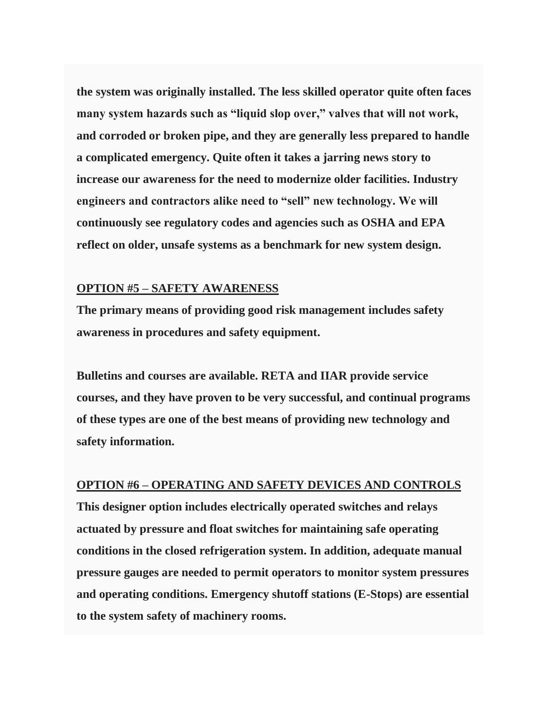**the system was originally installed. The less skilled operator quite often faces many system hazards such as "liquid slop over," valves that will not work, and corroded or broken pipe, and they are generally less prepared to handle a complicated emergency. Quite often it takes a jarring news story to increase our awareness for the need to modernize older facilities. Industry engineers and contractors alike need to "sell" new technology. We will continuously see regulatory codes and agencies such as OSHA and EPA reflect on older, unsafe systems as a benchmark for new system design.**

### **OPTION #5 – SAFETY AWARENESS**

**The primary means of providing good risk management includes safety awareness in procedures and safety equipment.**

**Bulletins and courses are available. RETA and IIAR provide service courses, and they have proven to be very successful, and continual programs of these types are one of the best means of providing new technology and safety information.**

#### **OPTION #6 – OPERATING AND SAFETY DEVICES AND CONTROLS**

**This designer option includes electrically operated switches and relays actuated by pressure and float switches for maintaining safe operating conditions in the closed refrigeration system. In addition, adequate manual pressure gauges are needed to permit operators to monitor system pressures and operating conditions. Emergency shutoff stations (E-Stops) are essential to the system safety of machinery rooms.**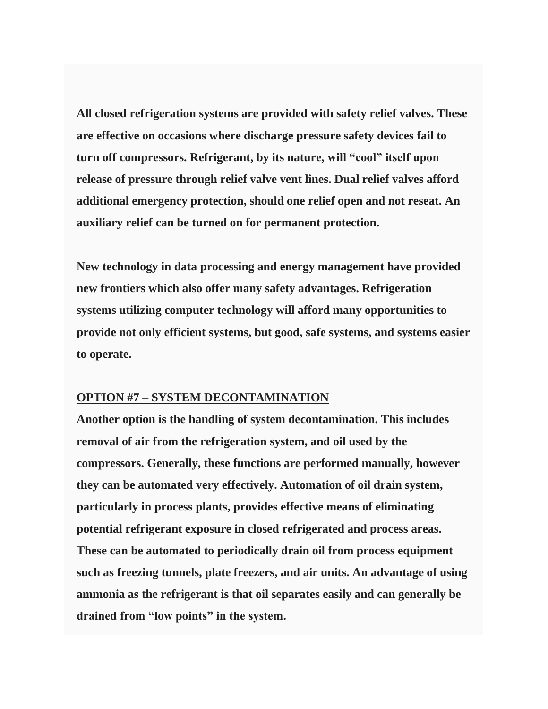**All closed refrigeration systems are provided with safety relief valves. These are effective on occasions where discharge pressure safety devices fail to turn off compressors. Refrigerant, by its nature, will "cool" itself upon release of pressure through relief valve vent lines. Dual relief valves afford additional emergency protection, should one relief open and not reseat. An auxiliary relief can be turned on for permanent protection.**

**New technology in data processing and energy management have provided new frontiers which also offer many safety advantages. Refrigeration systems utilizing computer technology will afford many opportunities to provide not only efficient systems, but good, safe systems, and systems easier to operate.**

#### **OPTION #7 – SYSTEM DECONTAMINATION**

**Another option is the handling of system decontamination. This includes removal of air from the refrigeration system, and oil used by the compressors. Generally, these functions are performed manually, however they can be automated very effectively. Automation of oil drain system, particularly in process plants, provides effective means of eliminating potential refrigerant exposure in closed refrigerated and process areas. These can be automated to periodically drain oil from process equipment such as freezing tunnels, plate freezers, and air units. An advantage of using ammonia as the refrigerant is that oil separates easily and can generally be drained from "low points" in the system.**